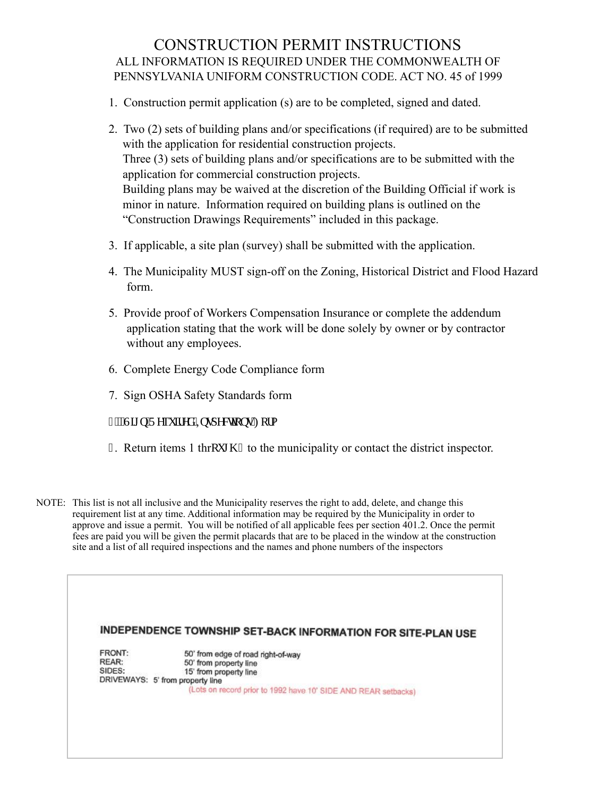#### CONSTRUCTION PERMIT INSTRUCTIONS ALL INFORMATION IS REQUIRED UNDER THE COMMONWEALTH OF PENNSYLVANIA UNIFORM CONSTRUCTION CODE. ACT NO. 45 of 1999

- 1. Construction permit application (s) are to be completed, signed and dated.
- 2. Two (2) sets of building plans and/or specifications (if required) are to be submitted with the application for residential construction projects. Three (3) sets of building plans and/or specifications are to be submitted with the application for commercial construction projects. Building plans may be waived at the discretion of the Building Official if work is minor in nature. Information required on building plans is outlined on the "Construction Drawings Requirements" included in this package.
- 3. If applicable, a site plan (survey) shall be submitted with the application.
- 4. The Municipality MUST sign-off on the Zoning, Historical District and Flood Hazard form.
- 5. Provide proof of Workers Compensation Insurance or complete the addendum application stating that the work will be done solely by owner or by contractor without any employees.
- 6. Complete Energy Code Compliance form
- 7. Sign OSHA Safety Standards form
- :  $0$ "Uki p'T gs wkt gf ''Kpur ge wq pu'Hq to
- $\frac{1}{\pi}$ . Return items 1 thrqwi  $\frac{1}{\pi}$  to the municipality or contact the district inspector.
- NOTE: This list is not all inclusive and the Municipality reserves the right to add, delete, and change this requirement list at any time. Additional information may be required by the Municipality in order to approve and issue a permit. You will be notified of all applicable fees per section 401.2. Once the permit fees are paid you will be given the permit placards that are to be placed in the window at the construction site and a list of all required inspections and the names and phone numbers of the inspectors

|        | INDEPENDENCE TOWNSHIP SET-BACK INFORMATION FOR SITE-PLAN USE   |
|--------|----------------------------------------------------------------|
| FRONT: | 50' from edge of road right-of-way                             |
| REAR:  | 50' from property line                                         |
| SIDES: | 15' from property line                                         |
|        | DRIVEWAYS: 5' from property line                               |
|        | (Lots on record prior to 1992 have 10' SIDE AND REAR setbacks) |
|        |                                                                |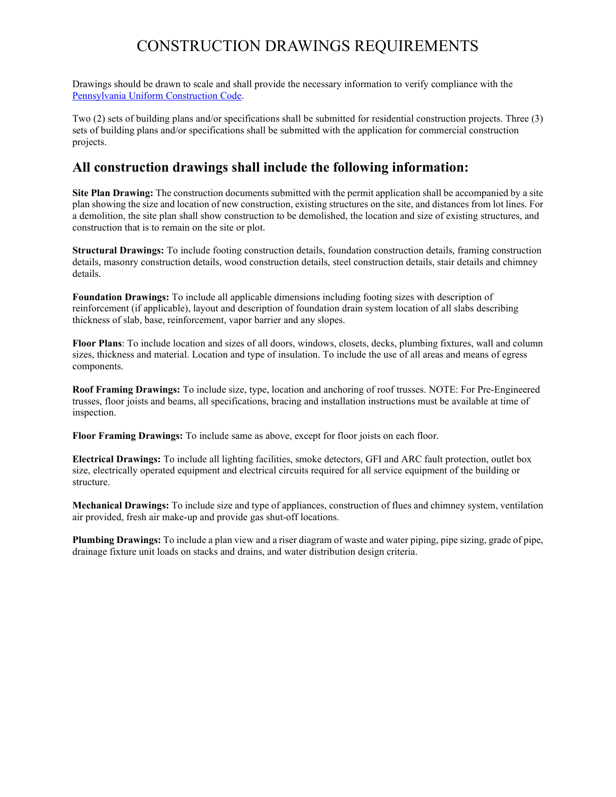## CONSTRUCTION DRAWINGS REQUIREMENTS

Drawings should be drawn to scale and shall provide the necessary information to verify compliance with the [Pennsylvania Uniform Construction Code.](https://www.dli.pa.gov/ucc/Pages/UCC-Codes.aspx)

Two (2) sets of building plans and/or specifications shall be submitted for residential construction projects. Three (3) sets of building plans and/or specifications shall be submitted with the application for commercial construction projects.

#### **All construction drawings shall include the following information:**

**Site Plan Drawing:** The construction documents submitted with the permit application shall be accompanied by a site plan showing the size and location of new construction, existing structures on the site, and distances from lot lines. For a demolition, the site plan shall show construction to be demolished, the location and size of existing structures, and construction that is to remain on the site or plot.

**Structural Drawings:** To include footing construction details, foundation construction details, framing construction details, masonry construction details, wood construction details, steel construction details, stair details and chimney details.

**Foundation Drawings:** To include all applicable dimensions including footing sizes with description of reinforcement (if applicable), layout and description of foundation drain system location of all slabs describing thickness of slab, base, reinforcement, vapor barrier and any slopes.

**Floor Plans**: To include location and sizes of all doors, windows, closets, decks, plumbing fixtures, wall and column sizes, thickness and material. Location and type of insulation. To include the use of all areas and means of egress components.

**Roof Framing Drawings:** To include size, type, location and anchoring of roof trusses. NOTE: For Pre-Engineered trusses, floor joists and beams, all specifications, bracing and installation instructions must be available at time of inspection.

**Floor Framing Drawings:** To include same as above, except for floor joists on each floor.

**Electrical Drawings:** To include all lighting facilities, smoke detectors, GFI and ARC fault protection, outlet box size, electrically operated equipment and electrical circuits required for all service equipment of the building or structure.

**Mechanical Drawings:** To include size and type of appliances, construction of flues and chimney system, ventilation air provided, fresh air make-up and provide gas shut-off locations.

**Plumbing Drawings:** To include a plan view and a riser diagram of waste and water piping, pipe sizing, grade of pipe, drainage fixture unit loads on stacks and drains, and water distribution design criteria.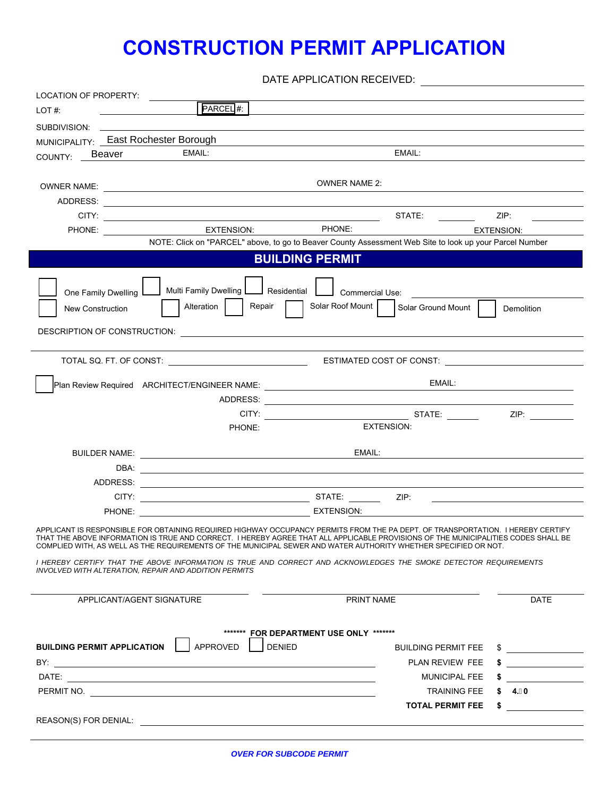# **CONSTRUCTION PERMIT APPLICATION**

DATE APPLICATION RECEIVED:

| LOCATION OF PROPERTY:                                 |                                                                                                                                                                                                                                                                                                                                                                                 |                                                                                                                                                                                                                                            |
|-------------------------------------------------------|---------------------------------------------------------------------------------------------------------------------------------------------------------------------------------------------------------------------------------------------------------------------------------------------------------------------------------------------------------------------------------|--------------------------------------------------------------------------------------------------------------------------------------------------------------------------------------------------------------------------------------------|
| PARCEL #:<br>LOT#                                     |                                                                                                                                                                                                                                                                                                                                                                                 |                                                                                                                                                                                                                                            |
|                                                       |                                                                                                                                                                                                                                                                                                                                                                                 |                                                                                                                                                                                                                                            |
| MUNICIPALITY: _ East Rochester Borough                |                                                                                                                                                                                                                                                                                                                                                                                 |                                                                                                                                                                                                                                            |
| EMAIL:<br>COUNTY: Beaver                              | EMAIL:                                                                                                                                                                                                                                                                                                                                                                          |                                                                                                                                                                                                                                            |
|                                                       | <b>OWNER NAME 2:</b>                                                                                                                                                                                                                                                                                                                                                            |                                                                                                                                                                                                                                            |
|                                                       |                                                                                                                                                                                                                                                                                                                                                                                 |                                                                                                                                                                                                                                            |
|                                                       | STATE: THE STATE:                                                                                                                                                                                                                                                                                                                                                               | ZIP:                                                                                                                                                                                                                                       |
|                                                       | EXTENSION: PHONE:                                                                                                                                                                                                                                                                                                                                                               | <b>EXTENSION:</b>                                                                                                                                                                                                                          |
|                                                       | NOTE: Click on "PARCEL" above, to go to Beaver County Assessment Web Site to look up your Parcel Number                                                                                                                                                                                                                                                                         |                                                                                                                                                                                                                                            |
|                                                       | <b>BUILDING PERMIT</b>                                                                                                                                                                                                                                                                                                                                                          |                                                                                                                                                                                                                                            |
| One Family Dwelling L<br>Alteration                   | Multi Family Dwelling <u>Louis Residential</u> Lommercial Use:<br>Solar Roof Mount<br>Repair                                                                                                                                                                                                                                                                                    |                                                                                                                                                                                                                                            |
| New Construction                                      | Solar Ground Mount                                                                                                                                                                                                                                                                                                                                                              | Demolition                                                                                                                                                                                                                                 |
|                                                       |                                                                                                                                                                                                                                                                                                                                                                                 |                                                                                                                                                                                                                                            |
|                                                       | <u> 1989 - Johann Barn, mars eta biztanleria (</u>                                                                                                                                                                                                                                                                                                                              |                                                                                                                                                                                                                                            |
|                                                       |                                                                                                                                                                                                                                                                                                                                                                                 |                                                                                                                                                                                                                                            |
|                                                       | EMAIL:                                                                                                                                                                                                                                                                                                                                                                          |                                                                                                                                                                                                                                            |
|                                                       |                                                                                                                                                                                                                                                                                                                                                                                 |                                                                                                                                                                                                                                            |
|                                                       |                                                                                                                                                                                                                                                                                                                                                                                 |                                                                                                                                                                                                                                            |
| PHONE:                                                | <b>EXTENSION:</b>                                                                                                                                                                                                                                                                                                                                                               |                                                                                                                                                                                                                                            |
|                                                       | EMAIL:                                                                                                                                                                                                                                                                                                                                                                          |                                                                                                                                                                                                                                            |
|                                                       |                                                                                                                                                                                                                                                                                                                                                                                 |                                                                                                                                                                                                                                            |
|                                                       |                                                                                                                                                                                                                                                                                                                                                                                 |                                                                                                                                                                                                                                            |
|                                                       |                                                                                                                                                                                                                                                                                                                                                                                 | <u>state and the state of the state of the state of the state of the state of the state of the state of the state of the state of the state of the state of the state of the state of the state of the state of the state of the</u>       |
|                                                       | PHONE: EXTENSION:                                                                                                                                                                                                                                                                                                                                                               |                                                                                                                                                                                                                                            |
|                                                       | APPLICANT IS RESPONSIBLE FOR OBTAINING REQUIRED HIGHWAY OCCUPANCY PERMITS FROM THE PA DEPT. OF TRANSPORTATION. I HEREBY CERTIFY<br>ABOVE INFORMATION IS TRUE AND CORRECT. I HEREBY AGREE THAT ALL APPLICABLE PROVISIONS OF THE MUNICIPALITIES CODES SHALL BE<br>COMPLIED WITH. AS WELL AS THE REQUIREMENTS OF THE MUNICIPAL SEWER AND WATER AUTHORITY WHETHER SPECIFIED OR NOT. |                                                                                                                                                                                                                                            |
| INVOLVED WITH ALTERATION, REPAIR AND ADDITION PERMITS | I HEREBY CERTIFY THAT THE ABOVE INFORMATION IS TRUE AND CORRECT AND ACKNOWLEDGES THE SMOKE DETECTOR REQUIREMENTS                                                                                                                                                                                                                                                                |                                                                                                                                                                                                                                            |
| APPLICANT/AGENT SIGNATURE                             | PRINT NAME                                                                                                                                                                                                                                                                                                                                                                      | <b>DATE</b>                                                                                                                                                                                                                                |
|                                                       |                                                                                                                                                                                                                                                                                                                                                                                 |                                                                                                                                                                                                                                            |
|                                                       | ******** FOR DEPARTMENT USE ONLY *******                                                                                                                                                                                                                                                                                                                                        |                                                                                                                                                                                                                                            |
| APPROVED<br><b>BUILDING PERMIT APPLICATION</b>        | <b>DENIED</b><br><b>BUILDING PERMIT FEE</b>                                                                                                                                                                                                                                                                                                                                     | \$<br><u> The Community of the Community of the Community of the Community of the Community of the Community of the Community of the Community of the Community of the Community of the Community of the Community of the Community of</u> |
|                                                       | PLAN REVIEW FEE                                                                                                                                                                                                                                                                                                                                                                 |                                                                                                                                                                                                                                            |
|                                                       | <b>MUNICIPAL FEE</b>                                                                                                                                                                                                                                                                                                                                                            | \$                                                                                                                                                                                                                                         |
|                                                       | <b>TRAINING FEE</b>                                                                                                                                                                                                                                                                                                                                                             | \$ 4.)0                                                                                                                                                                                                                                    |
|                                                       | <b>TOTAL PERMIT FEE</b>                                                                                                                                                                                                                                                                                                                                                         | \$                                                                                                                                                                                                                                         |
|                                                       |                                                                                                                                                                                                                                                                                                                                                                                 |                                                                                                                                                                                                                                            |
|                                                       |                                                                                                                                                                                                                                                                                                                                                                                 |                                                                                                                                                                                                                                            |

*OVER FOR SUBCODE PERMIT*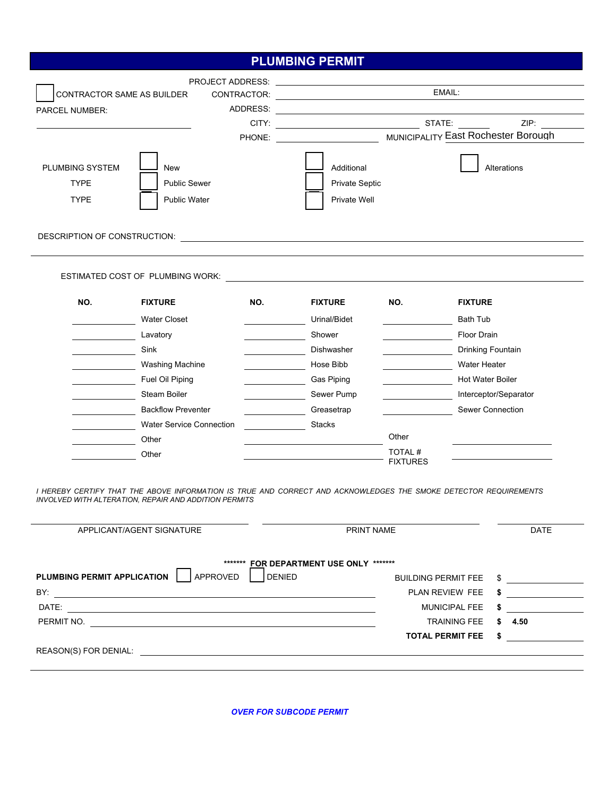|                                               |                                                                                                                                                                                                                    |               | <b>PLUMBING PERMIT</b>                                                                                                |                                               |                                                |
|-----------------------------------------------|--------------------------------------------------------------------------------------------------------------------------------------------------------------------------------------------------------------------|---------------|-----------------------------------------------------------------------------------------------------------------------|-----------------------------------------------|------------------------------------------------|
|                                               |                                                                                                                                                                                                                    |               | PROJECT ADDRESS: <u>_______________________________</u>                                                               |                                               |                                                |
| CONTRACTOR SAME AS BUILDER                    |                                                                                                                                                                                                                    |               |                                                                                                                       | EMAIL:                                        |                                                |
| <b>PARCEL NUMBER:</b>                         |                                                                                                                                                                                                                    |               |                                                                                                                       |                                               |                                                |
|                                               |                                                                                                                                                                                                                    |               |                                                                                                                       |                                               | ZIP:                                           |
|                                               |                                                                                                                                                                                                                    |               |                                                                                                                       |                                               |                                                |
| PLUMBING SYSTEM<br><b>TYPE</b><br><b>TYPE</b> | <b>New</b><br><b>Public Sewer</b><br><b>Public Water</b>                                                                                                                                                           |               | Additional<br><b>Private Septic</b><br>Private Well                                                                   |                                               | Alterations                                    |
|                                               |                                                                                                                                                                                                                    |               |                                                                                                                       |                                               |                                                |
|                                               | ESTIMATED COST OF PLUMBING WORK:                                                                                                                                                                                   |               | <u>and the state of the state of the state of the state of the state of the state of the state of the state of th</u> |                                               |                                                |
| NO.                                           | <b>FIXTURE</b>                                                                                                                                                                                                     | NO.           | <b>FIXTURE</b>                                                                                                        | NO.                                           | <b>FIXTURE</b>                                 |
|                                               | <b>Water Closet</b>                                                                                                                                                                                                |               | Urinal/Bidet                                                                                                          |                                               | <b>Bath Tub</b>                                |
|                                               | Lavatory                                                                                                                                                                                                           |               | Shower                                                                                                                |                                               | Floor Drain                                    |
|                                               | Sink                                                                                                                                                                                                               |               | Dishwasher                                                                                                            |                                               | Drinking Fountain                              |
|                                               | <b>Washing Machine</b>                                                                                                                                                                                             |               | Hose Bibb                                                                                                             |                                               | Water Heater                                   |
|                                               | Fuel Oil Piping                                                                                                                                                                                                    |               | Gas Piping                                                                                                            |                                               | <b>Hot Water Boiler</b>                        |
|                                               | Steam Boiler                                                                                                                                                                                                       |               | Sewer Pump                                                                                                            |                                               | Interceptor/Separator                          |
|                                               | <b>Backflow Preventer</b>                                                                                                                                                                                          |               | Greasetrap                                                                                                            |                                               | Sewer Connection                               |
|                                               | <b>Water Service Connection</b>                                                                                                                                                                                    |               | <b>Stacks</b>                                                                                                         |                                               |                                                |
|                                               | Other                                                                                                                                                                                                              |               |                                                                                                                       | Other                                         |                                                |
|                                               | Other                                                                                                                                                                                                              |               |                                                                                                                       | TOTAL#<br><b>FIXTURES</b>                     |                                                |
| PLUMBING PERMIT APPLICATION                   | I HEREBY CERTIFY THAT THE ABOVE INFORMATION IS TRUE AND CORRECT AND ACKNOWLEDGES THE SMOKE DETECTOR REQUIREMENTS<br>INVOLVED WITH ALTERATION, REPAIR AND ADDITION PERMITS<br>APPLICANT/AGENT SIGNATURE<br>APPROVED | <b>DENIED</b> | PRINT NAME<br>******* FOR DEPARTMENT USE ONLY *******                                                                 | <b>BUILDING PERMIT FEE</b><br>PLAN REVIEW FEE | <b>DATE</b><br>$\sim$                          |
|                                               |                                                                                                                                                                                                                    |               |                                                                                                                       | <b>MUNICIPAL FEE</b>                          | <u> 1989 - Jan Barnett, fransk politiker (</u> |
|                                               | PERMIT NO.                                                                                                                                                                                                         |               |                                                                                                                       | <b>TRAINING FEE</b>                           | \$ 4.50                                        |
|                                               |                                                                                                                                                                                                                    |               |                                                                                                                       |                                               | TOTAL PERMIT FEE \$                            |

REASON(S) FOR DENIAL: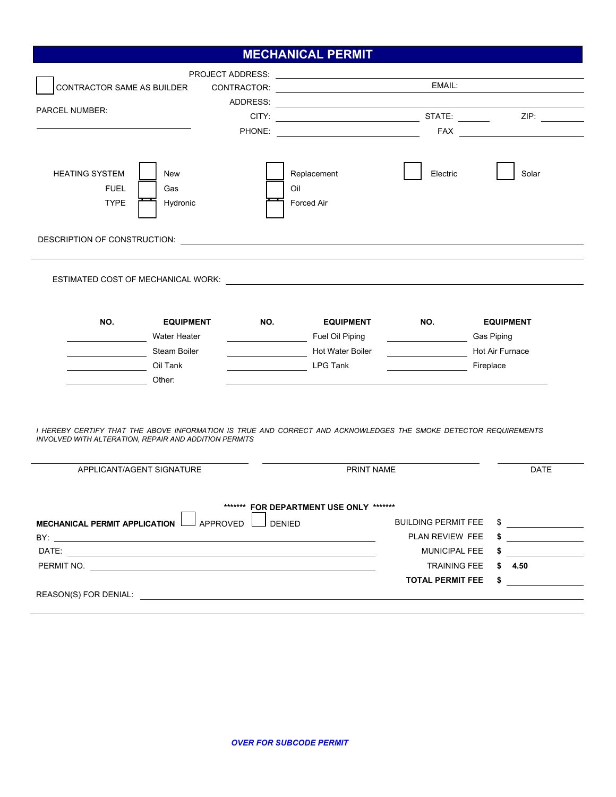### **MECHANICAL PERMIT**

| CONTRACTOR SAME AS BUILDER<br>PARCEL NUMBER:                                                                                                                                                                                                     |     | PROJECT ADDRESS: <u>_______________________________</u>  | EMAIL:                                                                                                              |                                                            |
|--------------------------------------------------------------------------------------------------------------------------------------------------------------------------------------------------------------------------------------------------|-----|----------------------------------------------------------|---------------------------------------------------------------------------------------------------------------------|------------------------------------------------------------|
| <b>HEATING SYSTEM</b><br>New<br><b>FUEL</b><br>Gas<br><b>TYPE</b><br>Hydronic                                                                                                                                                                    |     | Replacement<br>Oil<br>Forced Air                         | Electric                                                                                                            | Solar                                                      |
| DESCRIPTION OF CONSTRUCTION: <b>Andre Construction</b> of the construction of the construction of the construction of the construction of the construction of the construction of the construction of the construction of the const              |     |                                                          |                                                                                                                     |                                                            |
| ESTIMATED COST OF MECHANICAL WORK: \\contract \\contract\\contract\\contract\\contract\\contract\\contract\\cont                                                                                                                                 |     |                                                          |                                                                                                                     |                                                            |
| NO.<br><b>EQUIPMENT</b>                                                                                                                                                                                                                          | NO. | <b>EQUIPMENT</b>                                         | NO.                                                                                                                 | <b>EQUIPMENT</b>                                           |
| Water Heater<br><u> 1990 - Johann Barbara, martin a</u><br>Steam Boiler                                                                                                                                                                          |     | Fuel Oil Piping<br>Hot Water Boiler                      | <u> 1990 - Johann John Stone, markin samti samti samti samti samti samti samti samti samti samti samti samti sa</u> | Hot Air Furnace                                            |
| Oil Tank<br><u>and the company of the company of the company of the company of the company of the company of the company of the company of the company of the company of the company of the company of the company of the company of the com</u> |     | LPG Tank                                                 |                                                                                                                     | Fireplace                                                  |
| Other:<br><u>and the state of the state of the state</u>                                                                                                                                                                                         |     |                                                          |                                                                                                                     |                                                            |
| I HEREBY CERTIFY THAT THE ABOVE INFORMATION IS TRUE AND CORRECT AND ACKNOWLEDGES THE SMOKE DETECTOR REQUIREMENTS<br>INVOLVED WITH ALTERATION, REPAIR AND ADDITION PERMITS                                                                        |     |                                                          |                                                                                                                     |                                                            |
| APPLICANT/AGENT SIGNATURE                                                                                                                                                                                                                        |     | PRINT NAME                                               |                                                                                                                     | <b>DATE</b>                                                |
| MECHANICAL PERMIT APPLICATION L APPROVED L<br>DATE: www.astronometer.com/web/2010/07/2010<br>PERMIT NO.                                                                                                                                          |     | ******* FOR DEPARTMENT USE ONLY *******<br>$\Box$ DENIED | <b>BUILDING PERMIT FEE</b><br>PLAN REVIEW FEE<br>MUNICIPAL FEE<br><b>TRAINING FEE</b><br><b>TOTAL PERMIT FEE</b>    | $\frac{1}{2}$<br>$\sim$ $\sim$<br>\$ 4.50<br>$\frac{1}{2}$ |
|                                                                                                                                                                                                                                                  |     |                                                          |                                                                                                                     |                                                            |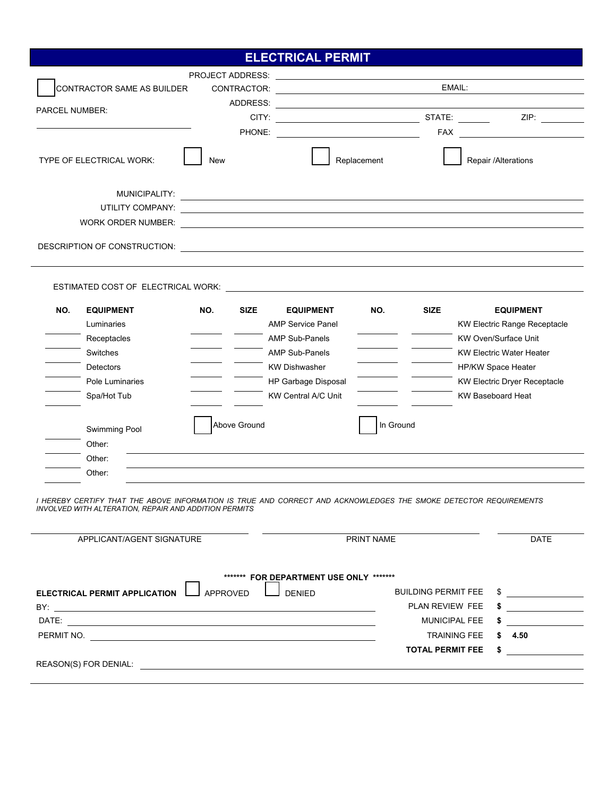### **ELECTRICAL PERMIT**

|                       |                                                                                                          |                    | <b>PROJECT ADDRESS:</b> PROJECT ADDRESS:                                                                                                                                                                                             |             |             |                                                                                                                                                                                                                    |
|-----------------------|----------------------------------------------------------------------------------------------------------|--------------------|--------------------------------------------------------------------------------------------------------------------------------------------------------------------------------------------------------------------------------------|-------------|-------------|--------------------------------------------------------------------------------------------------------------------------------------------------------------------------------------------------------------------|
|                       | CONTRACTOR SAME AS BUILDER                                                                               | CONTRACTOR:        | <u>state and the state of the state of the state of the state of the state of the state of the state of the state of the state of the state of the state of the state of the state of the state of the state of the state of the</u> |             | EMAIL:      |                                                                                                                                                                                                                    |
| <b>PARCEL NUMBER:</b> |                                                                                                          |                    |                                                                                                                                                                                                                                      |             |             |                                                                                                                                                                                                                    |
|                       |                                                                                                          | CITY:              | <u> 1999 - Johann Stoff, amerikansk politiker (</u>                                                                                                                                                                                  |             |             | STATE: _______<br>ZIP: Andrea Silvers and the set of the set of the set of the set of the set of the set of the set of the set o                                                                                   |
|                       |                                                                                                          |                    |                                                                                                                                                                                                                                      |             |             |                                                                                                                                                                                                                    |
|                       | TYPE OF ELECTRICAL WORK:                                                                                 | New                |                                                                                                                                                                                                                                      | Replacement |             | Repair /Alterations                                                                                                                                                                                                |
|                       | MUNICIPALITY:                                                                                            |                    |                                                                                                                                                                                                                                      |             |             |                                                                                                                                                                                                                    |
|                       |                                                                                                          |                    |                                                                                                                                                                                                                                      |             |             |                                                                                                                                                                                                                    |
|                       |                                                                                                          |                    |                                                                                                                                                                                                                                      |             |             |                                                                                                                                                                                                                    |
|                       |                                                                                                          |                    |                                                                                                                                                                                                                                      |             |             |                                                                                                                                                                                                                    |
|                       |                                                                                                          |                    |                                                                                                                                                                                                                                      |             |             |                                                                                                                                                                                                                    |
|                       |                                                                                                          |                    |                                                                                                                                                                                                                                      |             |             |                                                                                                                                                                                                                    |
| NO.                   | <b>EQUIPMENT</b><br>Luminaries<br>Receptacles<br>Switches<br>Detectors<br>Pole Luminaries<br>Spa/Hot Tub | NO.<br><b>SIZE</b> | <b>EQUIPMENT</b><br><b>AMP Service Panel</b><br><b>AMP Sub-Panels</b><br><b>AMP Sub-Panels</b><br><b>KW Dishwasher</b><br>HP Garbage Disposal<br><b>KW Central A/C Unit</b>                                                          | NO.         | <b>SIZE</b> | <b>EQUIPMENT</b><br><b>KW Electric Range Receptacle</b><br><b>KW Oven/Surface Unit</b><br><b>KW Electric Water Heater</b><br>HP/KW Space Heater<br><b>KW Electric Dryer Receptacle</b><br><b>KW Baseboard Heat</b> |
|                       | Swimming Pool                                                                                            | Above Ground       |                                                                                                                                                                                                                                      | In Ground   |             |                                                                                                                                                                                                                    |
|                       | Other:                                                                                                   |                    |                                                                                                                                                                                                                                      |             |             |                                                                                                                                                                                                                    |
|                       | Other:<br>Other:                                                                                         |                    |                                                                                                                                                                                                                                      |             |             |                                                                                                                                                                                                                    |

*I HEREBY CERTIFY THAT THE ABOVE INFORMATION IS TRUE AND CORRECT AND ACKNOWLEDGES THE SMOKE DETECTOR REQUIREMENTS INVOLVED WITH ALTERATION, REPAIR AND ADDITION PERMITS* 

|                                                                                                                                                                                                                                        | PRINT NAME                 |            | <b>DATE</b> |
|----------------------------------------------------------------------------------------------------------------------------------------------------------------------------------------------------------------------------------------|----------------------------|------------|-------------|
| ******** FOR DEPARTMENT USE ONLY *******                                                                                                                                                                                               | <b>BUILDING PERMIT FEE</b> | \$.        |             |
| <b>DENIED</b><br><b>ELECTRICAL PERMIT APPLICATION</b><br>APPROVED<br>BY:                                                                                                                                                               | PLAN REVIEW FEE            | \$         |             |
| the control of the control of the control of the control of the control of the control of the control of the control of the control of the control of the control of the control of the control of the control of the control<br>DATE: | <b>MUNICIPAL FEE</b>       | \$         |             |
|                                                                                                                                                                                                                                        |                            |            |             |
| PERMIT NO.                                                                                                                                                                                                                             | <b>TRAINING FEE</b>        | 4.50<br>S. |             |
|                                                                                                                                                                                                                                        | <b>TOTAL PERMIT FEE</b>    |            |             |
| <b>REASON(S) FOR DENIAL:</b>                                                                                                                                                                                                           |                            |            |             |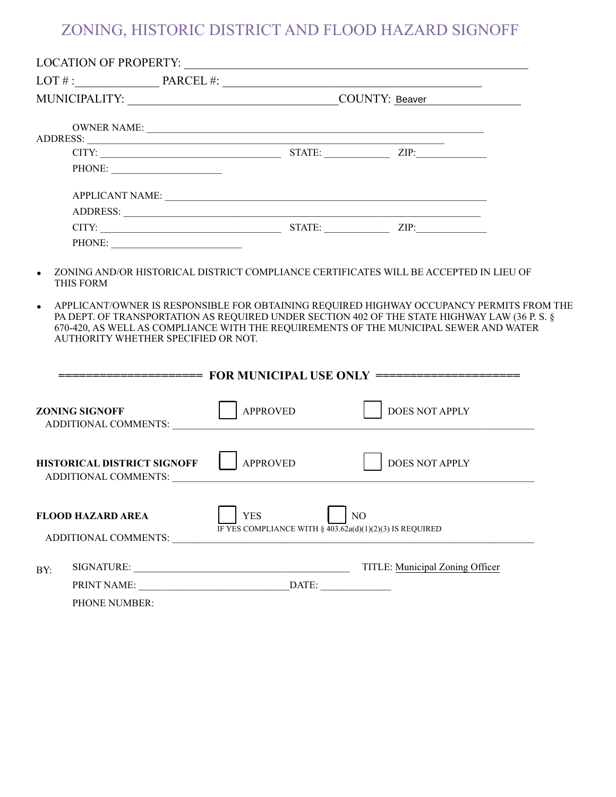# ZONING, HISTORIC DISTRICT AND FLOOD HAZARD SIGNOFF

|                                                                                                                                                                                                                                                                                                                                        | OWNER NAME:                                                            |                       |  |
|----------------------------------------------------------------------------------------------------------------------------------------------------------------------------------------------------------------------------------------------------------------------------------------------------------------------------------------|------------------------------------------------------------------------|-----------------------|--|
|                                                                                                                                                                                                                                                                                                                                        |                                                                        |                       |  |
|                                                                                                                                                                                                                                                                                                                                        |                                                                        |                       |  |
|                                                                                                                                                                                                                                                                                                                                        |                                                                        |                       |  |
|                                                                                                                                                                                                                                                                                                                                        |                                                                        |                       |  |
|                                                                                                                                                                                                                                                                                                                                        |                                                                        |                       |  |
|                                                                                                                                                                                                                                                                                                                                        |                                                                        |                       |  |
| PHONE:                                                                                                                                                                                                                                                                                                                                 |                                                                        |                       |  |
|                                                                                                                                                                                                                                                                                                                                        |                                                                        |                       |  |
| APPLICANT/OWNER IS RESPONSIBLE FOR OBTAINING REQUIRED HIGHWAY OCCUPANCY PERMITS FROM THE<br>$\bullet$<br>PA DEPT. OF TRANSPORTATION AS REQUIRED UNDER SECTION 402 OF THE STATE HIGHWAY LAW (36 P. S. §<br>670-420, AS WELL AS COMPLIANCE WITH THE REQUIREMENTS OF THE MUNICIPAL SEWER AND WATER<br>AUTHORITY WHETHER SPECIFIED OR NOT. |                                                                        |                       |  |
| <b>ZONING SIGNOFF</b>                                                                                                                                                                                                                                                                                                                  | <b>APPROVED</b>                                                        | <b>DOES NOT APPLY</b> |  |
| <b>HISTORICAL DISTRICT SIGNOFF</b><br>ADDITIONAL COMMENTS: NAMEL AND STRAIN STRAINS AND STRAIN STRAINS OF THE STRAIN STRAIN STRAIN STRAINS OF THE STRAIN STRAINS OF THE STRAIN STRAINS OF THE STRAINS OF THE STRAINS OF THE STRAINS OF THE STRAINS OF THE STRAINS OF                                                                   | <b>APPROVED</b>                                                        | <b>DOES NOT APPLY</b> |  |
| <b>FLOOD HAZARD AREA</b><br>ADDITIONAL COMMENTS:                                                                                                                                                                                                                                                                                       | <b>YES</b><br>IF YES COMPLIANCE WITH § 403.62a(d)(1)(2)(3) IS REQUIRED | N <sub>O</sub>        |  |
|                                                                                                                                                                                                                                                                                                                                        |                                                                        |                       |  |
| BY:                                                                                                                                                                                                                                                                                                                                    |                                                                        |                       |  |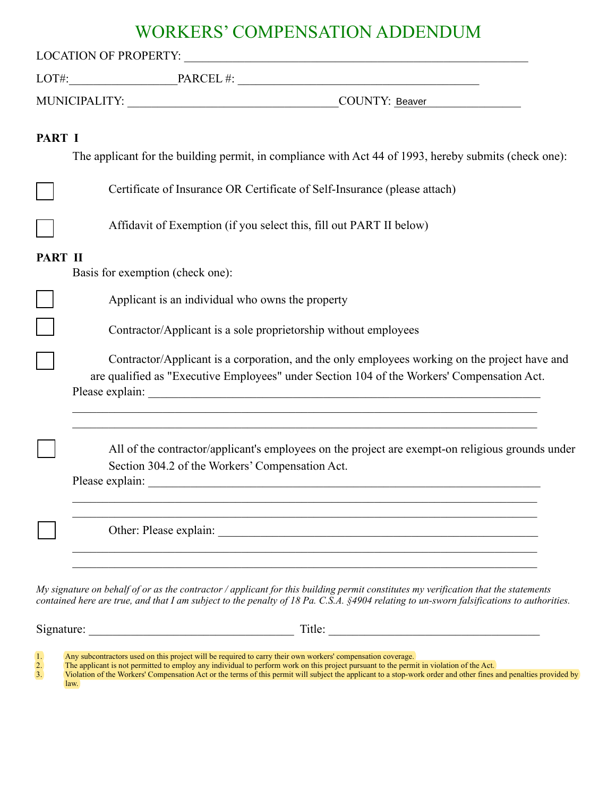## WORKERS' COMPENSATION ADDENDUM

| PART I  | The applicant for the building permit, in compliance with Act 44 of 1993, hereby submits (check one):                                                                                                                                                      |
|---------|------------------------------------------------------------------------------------------------------------------------------------------------------------------------------------------------------------------------------------------------------------|
|         | Certificate of Insurance OR Certificate of Self-Insurance (please attach)                                                                                                                                                                                  |
|         | Affidavit of Exemption (if you select this, fill out PART II below)                                                                                                                                                                                        |
| PART II | Basis for exemption (check one):                                                                                                                                                                                                                           |
|         | Applicant is an individual who owns the property                                                                                                                                                                                                           |
|         | Contractor/Applicant is a sole proprietorship without employees                                                                                                                                                                                            |
|         | Contractor/Applicant is a corporation, and the only employees working on the project have and<br>are qualified as "Executive Employees" under Section 104 of the Workers' Compensation Act.<br><u> 1989 - Johann Stoff, amerikansk politiker (d. 1989)</u> |
|         | <u> 1989 - Johann John Stein, mars an deutscher Stein († 1989)</u><br>All of the contractor/applicant's employees on the project are exempt-on religious grounds under<br>Section 304.2 of the Workers' Compensation Act.                                  |
|         | Other: Please explain:                                                                                                                                                                                                                                     |

*contained here are true, and that I am subject to the penalty of 18 Pa. C.S.A. §4904 relating to un-sworn falsifications to authorities.* 

Signature: \_\_\_\_\_\_\_\_\_\_\_\_\_\_\_\_\_\_\_\_\_\_\_\_\_\_\_\_\_\_\_\_\_\_ Title: \_\_\_\_\_\_\_\_\_\_\_\_\_\_\_\_\_\_\_\_\_\_\_\_\_\_\_\_\_\_\_\_\_\_\_

1. Any subcontractors used on this project will be required to carry their own workers' compensation coverage.<br>
2. The applicant is not permitted to employ any individual to perform work on this project pursuant to the per

2. The applicant is not permitted to employ any individual to perform work on this project pursuant to the permit in violation of the Act.

Violation of the Workers' Compensation Act or the terms of this permit will subject the applicant to a stop-work order and other fines and penalties provided by law.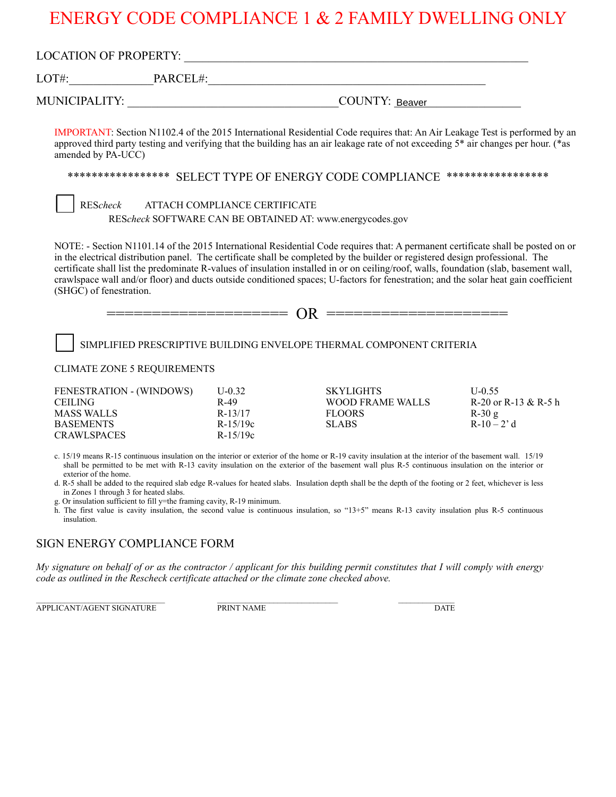# ENERGY CODE COMPLIANCE 1 & 2 FAMILY DWELLING ONLY

| amended by PA-UCC)                                                            |                                                                                                                   |                                                           | IMPORTANT: Section N1102.4 of the 2015 International Residential Code requires that: An Air Leakage Test is performed by an<br>approved third party testing and verifying that the building has an air leakage rate of not exceeding 5 <sup>*</sup> air changes per hour. (*as                                                                                                                                                                                                                                                                                                                                             |                                                            |
|-------------------------------------------------------------------------------|-------------------------------------------------------------------------------------------------------------------|-----------------------------------------------------------|----------------------------------------------------------------------------------------------------------------------------------------------------------------------------------------------------------------------------------------------------------------------------------------------------------------------------------------------------------------------------------------------------------------------------------------------------------------------------------------------------------------------------------------------------------------------------------------------------------------------------|------------------------------------------------------------|
|                                                                               |                                                                                                                   |                                                           | ***************** SELECT TYPE OF ENERGY CODE COMPLIANCE *****************                                                                                                                                                                                                                                                                                                                                                                                                                                                                                                                                                  |                                                            |
| REScheck                                                                      |                                                                                                                   | ATTACH COMPLIANCE CERTIFICATE                             |                                                                                                                                                                                                                                                                                                                                                                                                                                                                                                                                                                                                                            |                                                            |
|                                                                               |                                                                                                                   |                                                           | REScheck SOFTWARE CAN BE OBTAINED AT: www.energycodes.gov                                                                                                                                                                                                                                                                                                                                                                                                                                                                                                                                                                  |                                                            |
|                                                                               |                                                                                                                   |                                                           | in the electrical distribution panel. The certificate shall be completed by the builder or registered design professional. The<br>certificate shall list the predominate R-values of insulation installed in or on ceiling/roof, walls, foundation (slab, basement wall,<br>crawlspace wall and/or floor) and ducts outside conditioned spaces; U-factors for fenestration; and the solar heat gain coefficient                                                                                                                                                                                                            |                                                            |
| (SHGC) of fenestration.                                                       |                                                                                                                   |                                                           | SIMPLIFIED PRESCRIPTIVE BUILDING ENVELOPE THERMAL COMPONENT CRITERIA                                                                                                                                                                                                                                                                                                                                                                                                                                                                                                                                                       |                                                            |
|                                                                               | <b>CLIMATE ZONE 5 REQUIREMENTS</b>                                                                                |                                                           |                                                                                                                                                                                                                                                                                                                                                                                                                                                                                                                                                                                                                            |                                                            |
| <b>CEILING</b><br><b>MASS WALLS</b><br><b>BASEMENTS</b><br><b>CRAWLSPACES</b> | FENESTRATION - (WINDOWS)                                                                                          | $U-0.32$<br>$R-49$<br>$R-13/17$<br>R-15/19c<br>$R-15/19c$ | <b>SKYLIGHTS</b><br><b>WOOD FRAME WALLS</b><br><b>FLOORS</b><br><b>SLABS</b>                                                                                                                                                                                                                                                                                                                                                                                                                                                                                                                                               | $U-0.55$<br>R-20 or R-13 & R-5 h<br>$R-30g$<br>$R-10-2' d$ |
| exterior of the home.<br>insulation.                                          | in Zones 1 through 3 for heated slabs.<br>g. Or insulation sufficient to fill y=the framing cavity, R-19 minimum. |                                                           | c. 15/19 means R-15 continuous insulation on the interior or exterior of the home or R-19 cavity insulation at the interior of the basement wall. 15/19<br>shall be permitted to be met with R-13 cavity insulation on the exterior of the basement wall plus R-5 continuous insulation on the interior or<br>d. R-5 shall be added to the required slab edge R-values for heated slabs. Insulation depth shall be the depth of the footing or 2 feet, whichever is less<br>h. The first value is cavity insulation, the second value is continuous insulation, so "13+5" means R-13 cavity insulation plus R-5 continuous |                                                            |
|                                                                               | SIGN ENERGY COMPLIANCE FORM                                                                                       |                                                           |                                                                                                                                                                                                                                                                                                                                                                                                                                                                                                                                                                                                                            |                                                            |

APPLICANT/AGENT SIGNATURE PRINT NAME DATE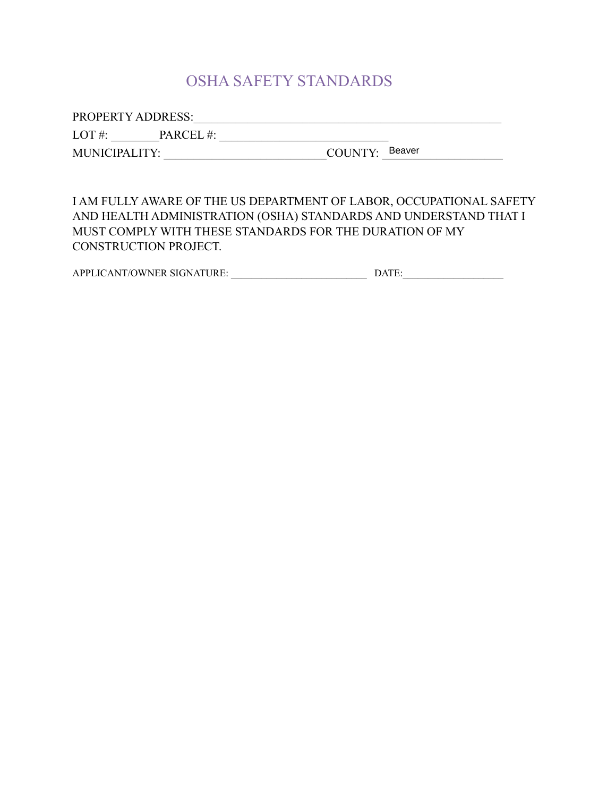## OSHA SAFETY STANDARDS

PROPERTY ADDRESS:\_\_\_\_\_\_\_\_\_\_\_\_\_\_\_\_\_\_\_\_\_\_\_\_\_\_\_\_\_\_\_\_\_\_\_\_\_\_\_\_\_\_\_\_\_\_\_\_\_\_\_

LOT #: \_\_\_\_\_\_\_\_PARCEL #: \_\_\_\_\_\_\_\_\_\_\_\_\_\_\_\_\_\_\_\_\_\_\_\_\_\_\_\_

MUNICIPALITY: \_\_\_\_\_\_\_\_\_\_\_\_\_\_\_\_\_\_\_\_\_\_\_\_\_\_\_COUNTY: \_\_\_\_\_\_\_\_\_\_\_\_\_\_\_\_\_\_\_\_ Beaver

I AM FULLY AWARE OF THE US DEPARTMENT OF LABOR, OCCUPATIONAL SAFETY AND HEALTH ADMINISTRATION (OSHA) STANDARDS AND UNDERSTAND THAT I MUST COMPLY WITH THESE STANDARDS FOR THE DURATION OF MY CONSTRUCTION PROJECT.

APPLICANT/OWNER SIGNATURE: \_\_\_\_\_\_\_\_\_\_\_\_\_\_\_\_\_\_\_\_\_\_\_\_\_\_\_ DATE:\_\_\_\_\_\_\_\_\_\_\_\_\_\_\_\_\_\_\_\_